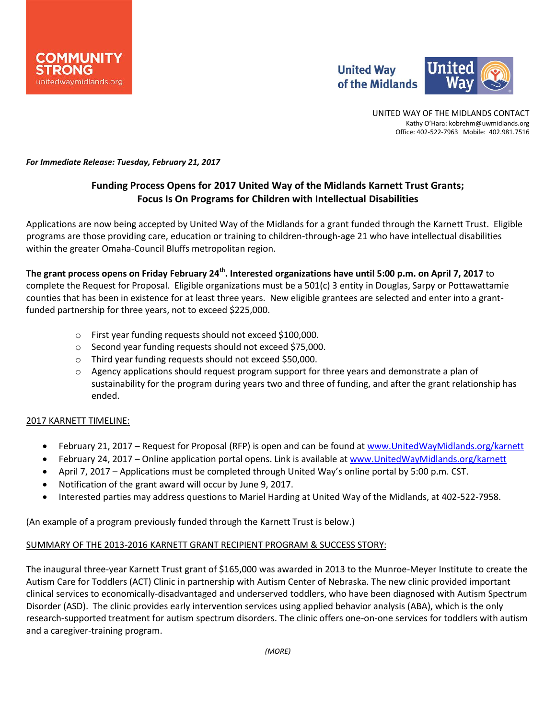

UNITED WAY OF THE MIDLANDS CONTACT Kathy O'Hara: kobrehm@uwmidlands.org Office: 402-522-7963 Mobile: 402.981.7516

*For Immediate Release: Tuesday, February 21, 2017*

# **Funding Process Opens for 2017 United Way of the Midlands Karnett Trust Grants; Focus Is On Programs for Children with Intellectual Disabilities**

Applications are now being accepted by United Way of the Midlands for a grant funded through the Karnett Trust. Eligible programs are those providing care, education or training to children-through-age 21 who have intellectual disabilities within the greater Omaha-Council Bluffs metropolitan region.

**The grant process opens on Friday February 24th . Interested organizations have until 5:00 p.m. on April 7, 2017** to complete the Request for Proposal. Eligible organizations must be a 501(c) 3 entity in Douglas, Sarpy or Pottawattamie counties that has been in existence for at least three years. New eligible grantees are selected and enter into a grantfunded partnership for three years, not to exceed \$225,000.

- o First year funding requests should not exceed \$100,000.
- o Second year funding requests should not exceed \$75,000.
- o Third year funding requests should not exceed \$50,000.
- $\circ$  Agency applications should request program support for three years and demonstrate a plan of sustainability for the program during years two and three of funding, and after the grant relationship has ended.

# 2017 KARNETT TIMELINE:

- February 21, 2017 Request for Proposal (RFP) is open and can be found a[t www.UnitedWayMidlands.org/karnett](http://www.unitedwaymidlands.org/karnett)
- February 24, 2017 Online application portal opens. Link is available at [www.UnitedWayMidlands.org/karnett](http://www.unitedwaymidlands.org/karnett)
- April 7, 2017 Applications must be completed through United Way's online portal by 5:00 p.m. CST.
- Notification of the grant award will occur by June 9, 2017.
- Interested parties may address questions to Mariel Harding at United Way of the Midlands, at 402-522-7958.

(An example of a program previously funded through the Karnett Trust is below.)

# SUMMARY OF THE 2013-2016 KARNETT GRANT RECIPIENT PROGRAM & SUCCESS STORY:

The inaugural three-year Karnett Trust grant of \$165,000 was awarded in 2013 to the Munroe-Meyer Institute to create the Autism Care for Toddlers (ACT) Clinic in partnership with Autism Center of Nebraska. The new clinic provided important clinical services to economically-disadvantaged and underserved toddlers, who have been diagnosed with Autism Spectrum Disorder (ASD). The clinic provides early intervention services using applied behavior analysis (ABA), which is the only research-supported treatment for autism spectrum disorders. The clinic offers one-on-one services for toddlers with autism and a caregiver-training program.